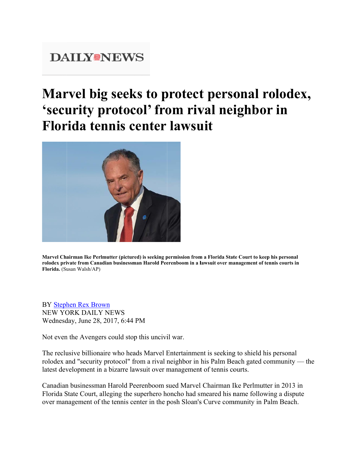## **DAILY®NEWS**

## Marvel big seeks to protect personal rolodex, 'security protocol' from rival neighbor in Florida tennis center lawsuit



Marvel Chairman Ike Perlmutter (pictured) is seeking permission from a Florida State Court to keep his personal rolodex private from Canadian businessman Harold Peerenboom in a lawsuit over management of tennis courts in Florida. (Susan Walsh/AP)

**BY** Stephen Rex Brown **NEW YORK DAILY NEWS** Wednesday, June 28, 2017, 6:44 PM

Not even the Avengers could stop this uncivil war.

The reclusive billionaire who heads Marvel Entertainment is seeking to shield his personal rolodex and "security protocol" from a rival neighbor in his Palm Beach gated community — the latest development in a bizarre lawsuit over management of tennis courts.

Canadian businessman Harold Peerenboom sued Marvel Chairman Ike Perlmutter in 2013 in Florida State Court, alleging the superhero honcho had smeared his name following a dispute over management of the tennis center in the posh Sloan's Curve community in Palm Beach.